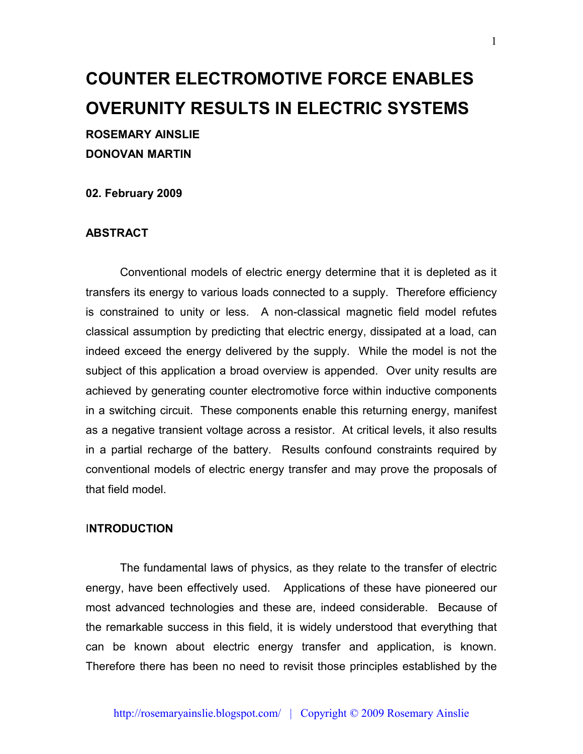# **COUNTER ELECTROMOTIVE FORCE ENABLES OVERUNITY RESULTS IN ELECTRIC SYSTEMS ROSEMARY AINSLIE DONOVAN MARTIN**

**02. February 2009**

#### **ABSTRACT**

Conventional models of electric energy determine that it is depleted as it transfers its energy to various loads connected to a supply. Therefore efficiency is constrained to unity or less. A non-classical magnetic field model refutes classical assumption by predicting that electric energy, dissipated at a load, can indeed exceed the energy delivered by the supply. While the model is not the subject of this application a broad overview is appended. Over unity results are achieved by generating counter electromotive force within inductive components in a switching circuit. These components enable this returning energy, manifest as a negative transient voltage across a resistor. At critical levels, it also results in a partial recharge of the battery. Results confound constraints required by conventional models of electric energy transfer and may prove the proposals of that field model.

#### I**NTRODUCTION**

The fundamental laws of physics, as they relate to the transfer of electric energy, have been effectively used. Applications of these have pioneered our most advanced technologies and these are, indeed considerable. Because of the remarkable success in this field, it is widely understood that everything that can be known about electric energy transfer and application, is known. Therefore there has been no need to revisit those principles established by the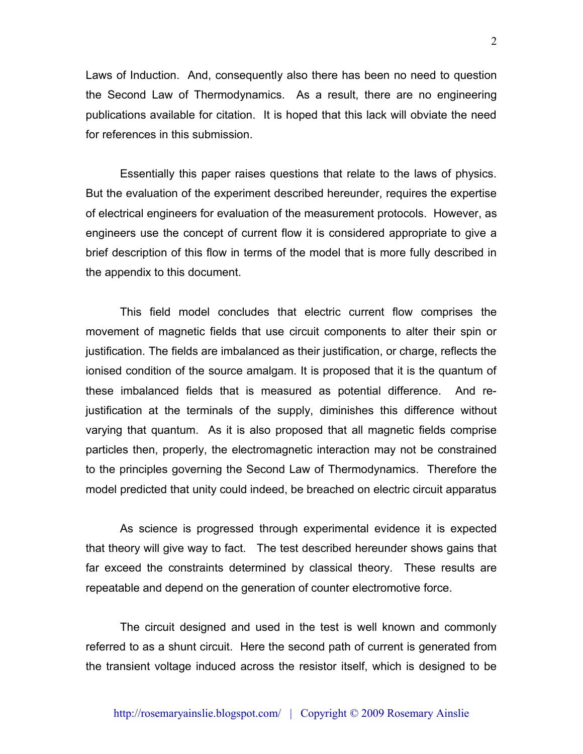Laws of Induction. And, consequently also there has been no need to question the Second Law of Thermodynamics. As a result, there are no engineering publications available for citation. It is hoped that this lack will obviate the need for references in this submission.

Essentially this paper raises questions that relate to the laws of physics. But the evaluation of the experiment described hereunder, requires the expertise of electrical engineers for evaluation of the measurement protocols. However, as engineers use the concept of current flow it is considered appropriate to give a brief description of this flow in terms of the model that is more fully described in the appendix to this document.

This field model concludes that electric current flow comprises the movement of magnetic fields that use circuit components to alter their spin or justification. The fields are imbalanced as their justification, or charge, reflects the ionised condition of the source amalgam. It is proposed that it is the quantum of these imbalanced fields that is measured as potential difference. And rejustification at the terminals of the supply, diminishes this difference without varying that quantum. As it is also proposed that all magnetic fields comprise particles then, properly, the electromagnetic interaction may not be constrained to the principles governing the Second Law of Thermodynamics. Therefore the model predicted that unity could indeed, be breached on electric circuit apparatus

As science is progressed through experimental evidence it is expected that theory will give way to fact. The test described hereunder shows gains that far exceed the constraints determined by classical theory. These results are repeatable and depend on the generation of counter electromotive force.

The circuit designed and used in the test is well known and commonly referred to as a shunt circuit. Here the second path of current is generated from the transient voltage induced across the resistor itself, which is designed to be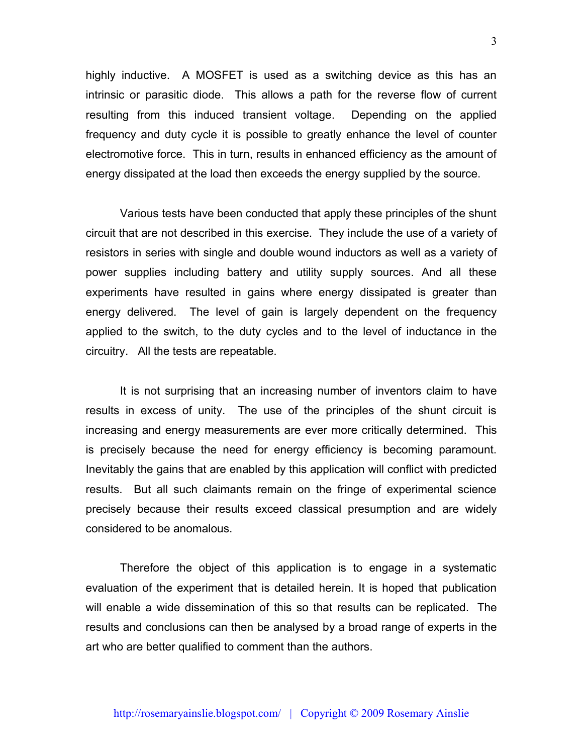highly inductive. A MOSFET is used as a switching device as this has an intrinsic or parasitic diode. This allows a path for the reverse flow of current resulting from this induced transient voltage. Depending on the applied frequency and duty cycle it is possible to greatly enhance the level of counter electromotive force. This in turn, results in enhanced efficiency as the amount of energy dissipated at the load then exceeds the energy supplied by the source.

Various tests have been conducted that apply these principles of the shunt circuit that are not described in this exercise. They include the use of a variety of resistors in series with single and double wound inductors as well as a variety of power supplies including battery and utility supply sources. And all these experiments have resulted in gains where energy dissipated is greater than energy delivered. The level of gain is largely dependent on the frequency applied to the switch, to the duty cycles and to the level of inductance in the circuitry. All the tests are repeatable.

It is not surprising that an increasing number of inventors claim to have results in excess of unity. The use of the principles of the shunt circuit is increasing and energy measurements are ever more critically determined. This is precisely because the need for energy efficiency is becoming paramount. Inevitably the gains that are enabled by this application will conflict with predicted results. But all such claimants remain on the fringe of experimental science precisely because their results exceed classical presumption and are widely considered to be anomalous.

Therefore the object of this application is to engage in a systematic evaluation of the experiment that is detailed herein. It is hoped that publication will enable a wide dissemination of this so that results can be replicated. The results and conclusions can then be analysed by a broad range of experts in the art who are better qualified to comment than the authors.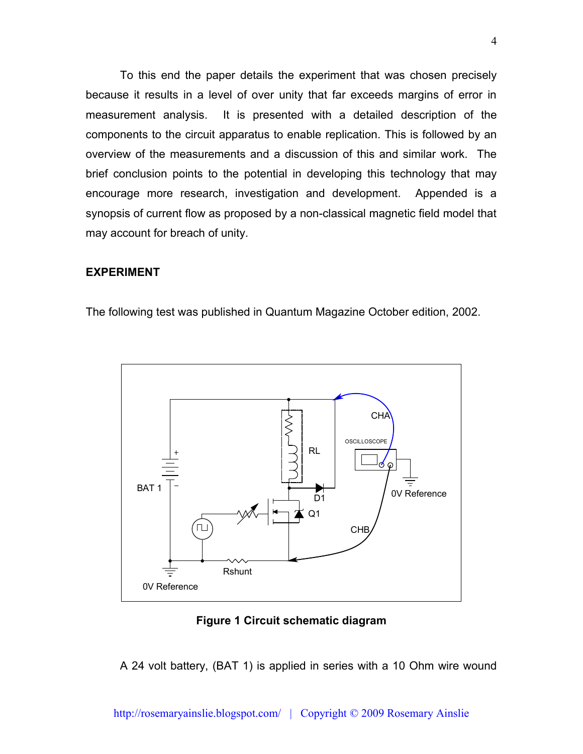To this end the paper details the experiment that was chosen precisely because it results in a level of over unity that far exceeds margins of error in measurement analysis. It is presented with a detailed description of the components to the circuit apparatus to enable replication. This is followed by an overview of the measurements and a discussion of this and similar work. The brief conclusion points to the potential in developing this technology that may encourage more research, investigation and development. Appended is a synopsis of current flow as proposed by a non-classical magnetic field model that may account for breach of unity.

## **EXPERIMENT**

The following test was published in Quantum Magazine October edition, 2002.



#### **Figure 1 Circuit schematic diagram**

A 24 volt battery, (BAT 1) is applied in series with a 10 Ohm wire wound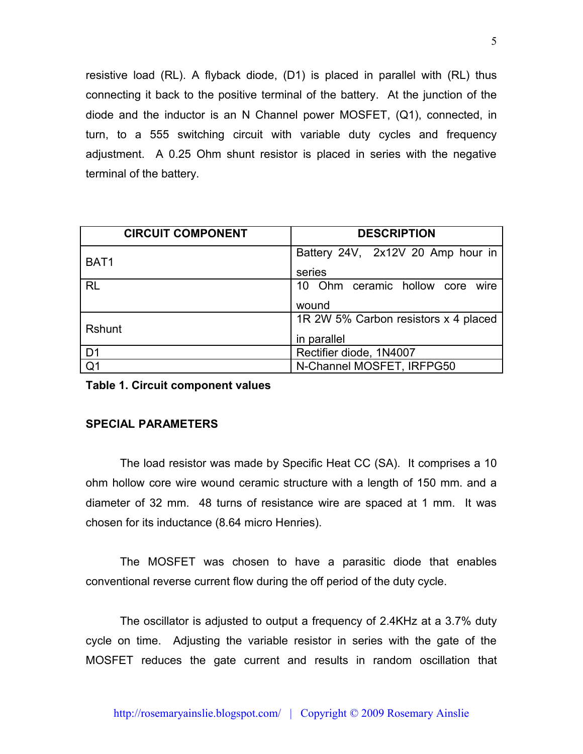resistive load (RL). A flyback diode, (D1) is placed in parallel with (RL) thus connecting it back to the positive terminal of the battery. At the junction of the diode and the inductor is an N Channel power MOSFET, (Q1), connected, in turn, to a 555 switching circuit with variable duty cycles and frequency adjustment. A 0.25 Ohm shunt resistor is placed in series with the negative terminal of the battery.

| <b>CIRCUIT COMPONENT</b> | <b>DESCRIPTION</b>                   |
|--------------------------|--------------------------------------|
| BAT <sub>1</sub>         | Battery 24V, 2x12V 20 Amp hour in    |
|                          | series                               |
| <b>RL</b>                | 10 Ohm ceramic hollow core wire      |
|                          | wound                                |
|                          | 1R 2W 5% Carbon resistors x 4 placed |
| <b>Rshunt</b>            | in parallel                          |
| D <sub>1</sub>           | Rectifier diode, 1N4007              |
| Q1                       | N-Channel MOSFET, IRFPG50            |

**Table 1. Circuit component values**

# **SPECIAL PARAMETERS**

The load resistor was made by Specific Heat CC (SA). It comprises a 10 ohm hollow core wire wound ceramic structure with a length of 150 mm. and a diameter of 32 mm. 48 turns of resistance wire are spaced at 1 mm. It was chosen for its inductance (8.64 micro Henries).

The MOSFET was chosen to have a parasitic diode that enables conventional reverse current flow during the off period of the duty cycle.

The oscillator is adjusted to output a frequency of 2.4KHz at a 3.7% duty cycle on time. Adjusting the variable resistor in series with the gate of the MOSFET reduces the gate current and results in random oscillation that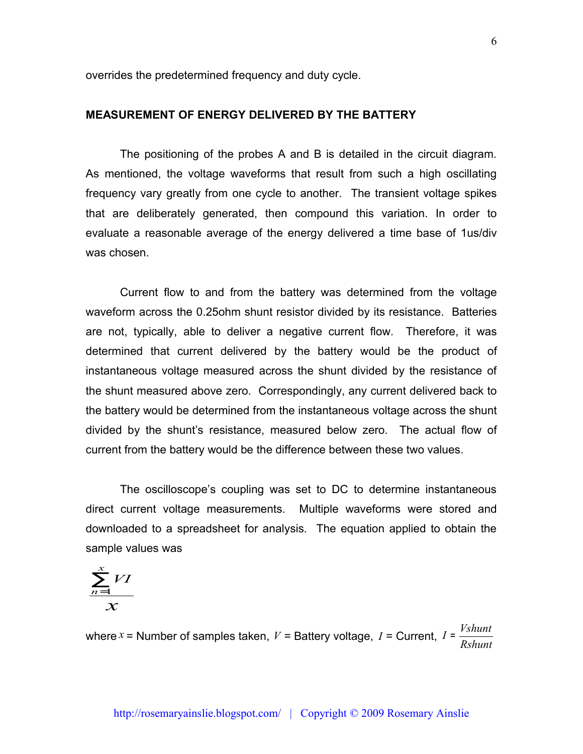overrides the predetermined frequency and duty cycle.

# **MEASUREMENT OF ENERGY DELIVERED BY THE BATTERY**

The positioning of the probes A and B is detailed in the circuit diagram. As mentioned, the voltage waveforms that result from such a high oscillating frequency vary greatly from one cycle to another. The transient voltage spikes that are deliberately generated, then compound this variation. In order to evaluate a reasonable average of the energy delivered a time base of 1us/div was chosen.

Current flow to and from the battery was determined from the voltage waveform across the 0.25ohm shunt resistor divided by its resistance. Batteries are not, typically, able to deliver a negative current flow. Therefore, it was determined that current delivered by the battery would be the product of instantaneous voltage measured across the shunt divided by the resistance of the shunt measured above zero. Correspondingly, any current delivered back to the battery would be determined from the instantaneous voltage across the shunt divided by the shunt's resistance, measured below zero. The actual flow of current from the battery would be the difference between these two values.

The oscilloscope's coupling was set to DC to determine instantaneous direct current voltage measurements. Multiple waveforms were stored and downloaded to a spreadsheet for analysis. The equation applied to obtain the sample values was

$$
\frac{\sum_{n=1}^{x}VI}{x}
$$

where  $x =$  Number of samples taken,  $V =$  Battery voltage,  $I =$  Current, *Rshunt*  $I = \frac{Vshunt}{I}$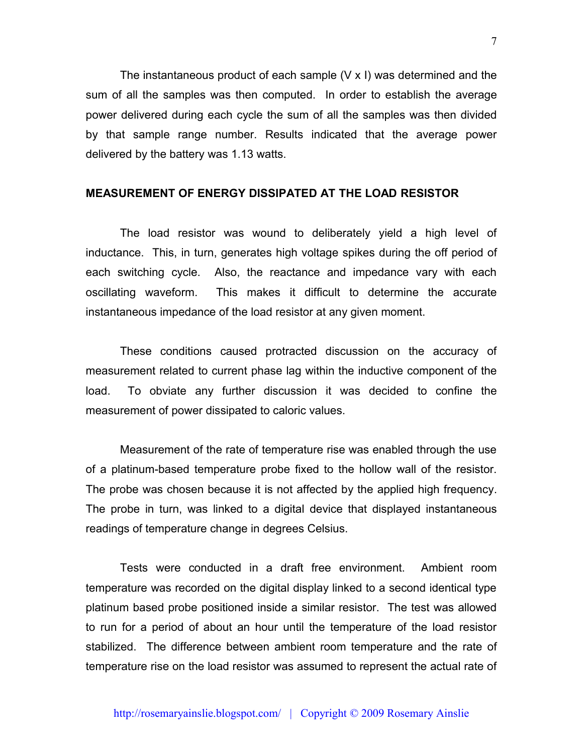The instantaneous product of each sample (V x I) was determined and the sum of all the samples was then computed. In order to establish the average power delivered during each cycle the sum of all the samples was then divided by that sample range number. Results indicated that the average power delivered by the battery was 1.13 watts.

# **MEASUREMENT OF ENERGY DISSIPATED AT THE LOAD RESISTOR**

The load resistor was wound to deliberately yield a high level of inductance. This, in turn, generates high voltage spikes during the off period of each switching cycle. Also, the reactance and impedance vary with each oscillating waveform. This makes it difficult to determine the accurate instantaneous impedance of the load resistor at any given moment.

These conditions caused protracted discussion on the accuracy of measurement related to current phase lag within the inductive component of the load. To obviate any further discussion it was decided to confine the measurement of power dissipated to caloric values.

Measurement of the rate of temperature rise was enabled through the use of a platinum-based temperature probe fixed to the hollow wall of the resistor. The probe was chosen because it is not affected by the applied high frequency. The probe in turn, was linked to a digital device that displayed instantaneous readings of temperature change in degrees Celsius.

Tests were conducted in a draft free environment. Ambient room temperature was recorded on the digital display linked to a second identical type platinum based probe positioned inside a similar resistor. The test was allowed to run for a period of about an hour until the temperature of the load resistor stabilized. The difference between ambient room temperature and the rate of temperature rise on the load resistor was assumed to represent the actual rate of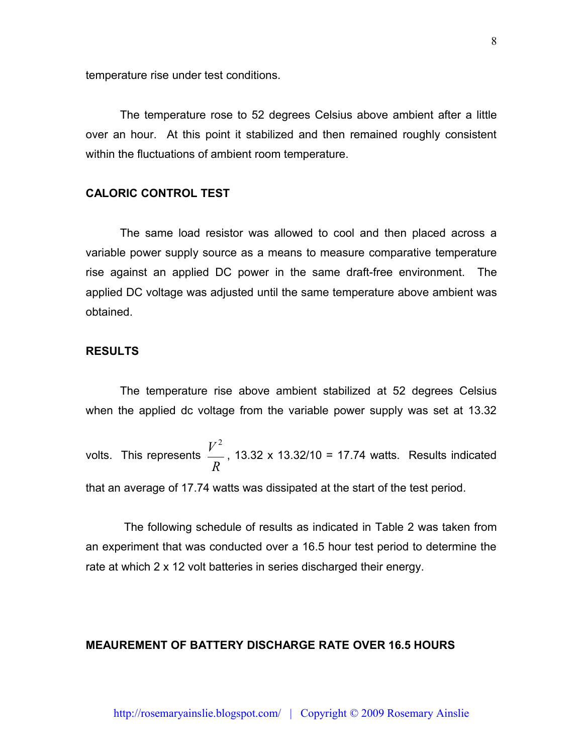temperature rise under test conditions.

The temperature rose to 52 degrees Celsius above ambient after a little over an hour. At this point it stabilized and then remained roughly consistent within the fluctuations of ambient room temperature.

# **CALORIC CONTROL TEST**

The same load resistor was allowed to cool and then placed across a variable power supply source as a means to measure comparative temperature rise against an applied DC power in the same draft-free environment. The applied DC voltage was adjusted until the same temperature above ambient was obtained.

# **RESULTS**

The temperature rise above ambient stabilized at 52 degrees Celsius when the applied dc voltage from the variable power supply was set at 13.32

volts. This represents *R V* 2 , 13.32 x 13.32/10 = 17.74 watts. Results indicated

that an average of 17.74 watts was dissipated at the start of the test period.

The following schedule of results as indicated in Table 2 was taken from an experiment that was conducted over a 16.5 hour test period to determine the rate at which 2 x 12 volt batteries in series discharged their energy.

# **MEAUREMENT OF BATTERY DISCHARGE RATE OVER 16.5 HOURS**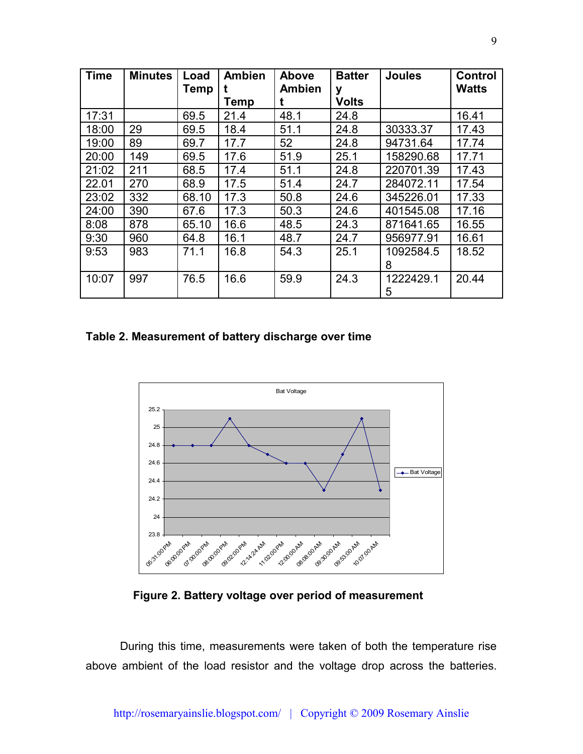| <b>Time</b> | <b>Minutes</b> | Load        | <b>Ambien</b> | Above         | <b>Batter</b> | <b>Joules</b> | <b>Control</b> |
|-------------|----------------|-------------|---------------|---------------|---------------|---------------|----------------|
|             |                | <b>Temp</b> |               | <b>Ambien</b> | y             |               | <b>Watts</b>   |
|             |                |             | Temp          |               | <b>Volts</b>  |               |                |
| 17:31       |                | 69.5        | 21.4          | 48.1          | 24.8          |               | 16.41          |
| 18:00       | 29             | 69.5        | 18.4          | 51.1          | 24.8          | 30333.37      | 17.43          |
| 19:00       | 89             | 69.7        | 17.7          | 52            | 24.8          | 94731.64      | 17.74          |
| 20:00       | 149            | 69.5        | 17.6          | 51.9          | 25.1          | 158290.68     | 17.71          |
| 21:02       | 211            | 68.5        | 17.4          | 51.1          | 24.8          | 220701.39     | 17.43          |
| 22.01       | 270            | 68.9        | 17.5          | 51.4          | 24.7          | 284072.11     | 17.54          |
| 23:02       | 332            | 68.10       | 17.3          | 50.8          | 24.6          | 345226.01     | 17.33          |
| 24:00       | 390            | 67.6        | 17.3          | 50.3          | 24.6          | 401545.08     | 17.16          |
| 8:08        | 878            | 65.10       | 16.6          | 48.5          | 24.3          | 871641.65     | 16.55          |
| 9:30        | 960            | 64.8        | 16.1          | 48.7          | 24.7          | 956977.91     | 16.61          |
| 9:53        | 983            | 71.1        | 16.8          | 54.3          | 25.1          | 1092584.5     | 18.52          |
|             |                |             |               |               |               | 8             |                |
| 10:07       | 997            | 76.5        | 16.6          | 59.9          | 24.3          | 1222429.1     | 20.44          |
|             |                |             |               |               |               | 5             |                |

**Table 2. Measurement of battery discharge over time**



**Figure 2. Battery voltage over period of measurement**

During this time, measurements were taken of both the temperature rise above ambient of the load resistor and the voltage drop across the batteries.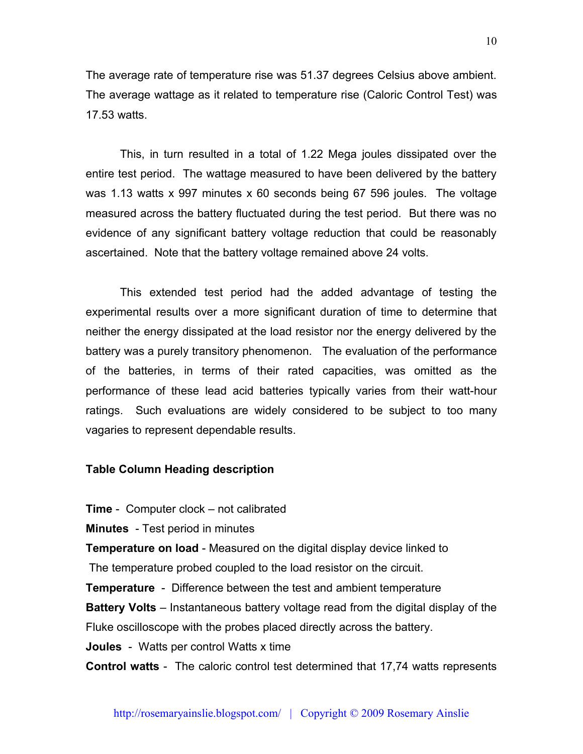The average rate of temperature rise was 51.37 degrees Celsius above ambient. The average wattage as it related to temperature rise (Caloric Control Test) was 17.53 watts.

This, in turn resulted in a total of 1.22 Mega joules dissipated over the entire test period. The wattage measured to have been delivered by the battery was 1.13 watts x 997 minutes x 60 seconds being 67 596 joules. The voltage measured across the battery fluctuated during the test period. But there was no evidence of any significant battery voltage reduction that could be reasonably ascertained. Note that the battery voltage remained above 24 volts.

This extended test period had the added advantage of testing the experimental results over a more significant duration of time to determine that neither the energy dissipated at the load resistor nor the energy delivered by the battery was a purely transitory phenomenon. The evaluation of the performance of the batteries, in terms of their rated capacities, was omitted as the performance of these lead acid batteries typically varies from their watt-hour ratings. Such evaluations are widely considered to be subject to too many vagaries to represent dependable results.

#### **Table Column Heading description**

**Time** - Computer clock – not calibrated

**Minutes** - Test period in minutes

**Temperature on load** - Measured on the digital display device linked to

The temperature probed coupled to the load resistor on the circuit.

**Temperature** - Difference between the test and ambient temperature

**Battery Volts** – Instantaneous battery voltage read from the digital display of the

Fluke oscilloscope with the probes placed directly across the battery.

**Joules** - Watts per control Watts x time

**Control watts** - The caloric control test determined that 17,74 watts represents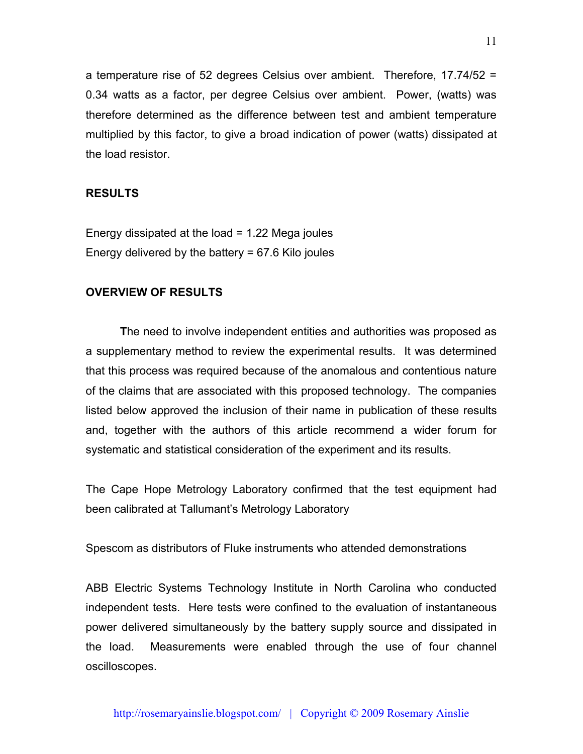a temperature rise of 52 degrees Celsius over ambient. Therefore, 17.74/52 = 0.34 watts as a factor, per degree Celsius over ambient. Power, (watts) was therefore determined as the difference between test and ambient temperature multiplied by this factor, to give a broad indication of power (watts) dissipated at the load resistor.

# **RESULTS**

Energy dissipated at the load = 1.22 Mega joules Energy delivered by the battery = 67.6 Kilo joules

#### **OVERVIEW OF RESULTS**

**T**he need to involve independent entities and authorities was proposed as a supplementary method to review the experimental results. It was determined that this process was required because of the anomalous and contentious nature of the claims that are associated with this proposed technology. The companies listed below approved the inclusion of their name in publication of these results and, together with the authors of this article recommend a wider forum for systematic and statistical consideration of the experiment and its results.

The Cape Hope Metrology Laboratory confirmed that the test equipment had been calibrated at Tallumant's Metrology Laboratory

Spescom as distributors of Fluke instruments who attended demonstrations

ABB Electric Systems Technology Institute in North Carolina who conducted independent tests. Here tests were confined to the evaluation of instantaneous power delivered simultaneously by the battery supply source and dissipated in the load. Measurements were enabled through the use of four channel oscilloscopes.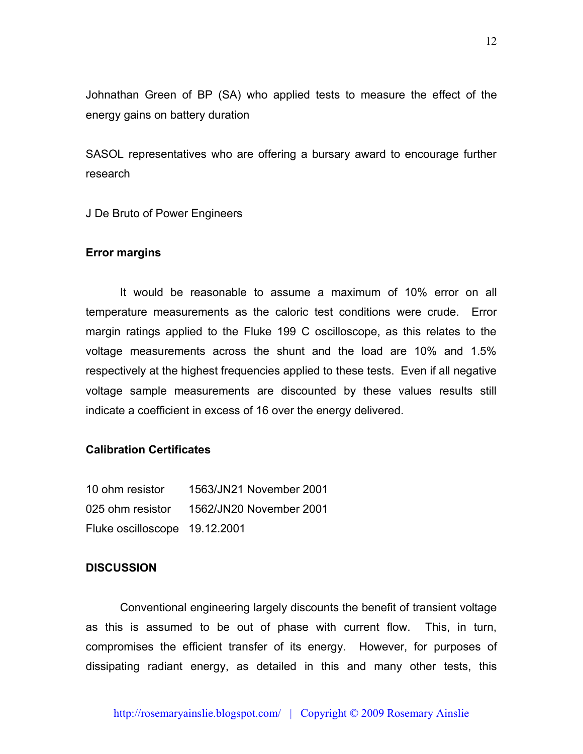Johnathan Green of BP (SA) who applied tests to measure the effect of the energy gains on battery duration

SASOL representatives who are offering a bursary award to encourage further research

J De Bruto of Power Engineers

# **Error margins**

It would be reasonable to assume a maximum of 10% error on all temperature measurements as the caloric test conditions were crude. Error margin ratings applied to the Fluke 199 C oscilloscope, as this relates to the voltage measurements across the shunt and the load are 10% and 1.5% respectively at the highest frequencies applied to these tests. Even if all negative voltage sample measurements are discounted by these values results still indicate a coefficient in excess of 16 over the energy delivered.

# **Calibration Certificates**

| 10 ohm resistor               | 1563/JN21 November 2001 |
|-------------------------------|-------------------------|
| 025 ohm resistor              | 1562/JN20 November 2001 |
| Fluke oscilloscope 19.12.2001 |                         |

# **DISCUSSION**

Conventional engineering largely discounts the benefit of transient voltage as this is assumed to be out of phase with current flow. This, in turn, compromises the efficient transfer of its energy. However, for purposes of dissipating radiant energy, as detailed in this and many other tests, this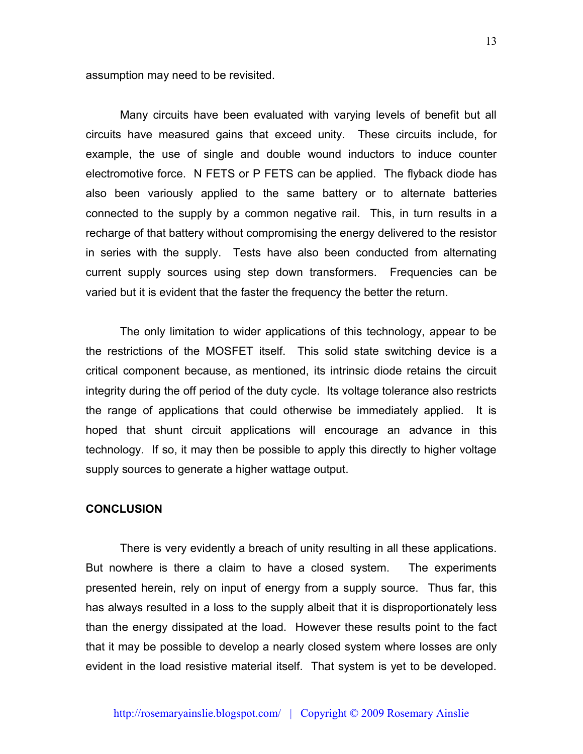assumption may need to be revisited.

Many circuits have been evaluated with varying levels of benefit but all circuits have measured gains that exceed unity. These circuits include, for example, the use of single and double wound inductors to induce counter electromotive force. N FETS or P FETS can be applied. The flyback diode has also been variously applied to the same battery or to alternate batteries connected to the supply by a common negative rail. This, in turn results in a recharge of that battery without compromising the energy delivered to the resistor in series with the supply. Tests have also been conducted from alternating current supply sources using step down transformers. Frequencies can be varied but it is evident that the faster the frequency the better the return.

The only limitation to wider applications of this technology, appear to be the restrictions of the MOSFET itself. This solid state switching device is a critical component because, as mentioned, its intrinsic diode retains the circuit integrity during the off period of the duty cycle. Its voltage tolerance also restricts the range of applications that could otherwise be immediately applied. It is hoped that shunt circuit applications will encourage an advance in this technology. If so, it may then be possible to apply this directly to higher voltage supply sources to generate a higher wattage output.

# **CONCLUSION**

There is very evidently a breach of unity resulting in all these applications. But nowhere is there a claim to have a closed system. The experiments presented herein, rely on input of energy from a supply source. Thus far, this has always resulted in a loss to the supply albeit that it is disproportionately less than the energy dissipated at the load. However these results point to the fact that it may be possible to develop a nearly closed system where losses are only evident in the load resistive material itself. That system is yet to be developed.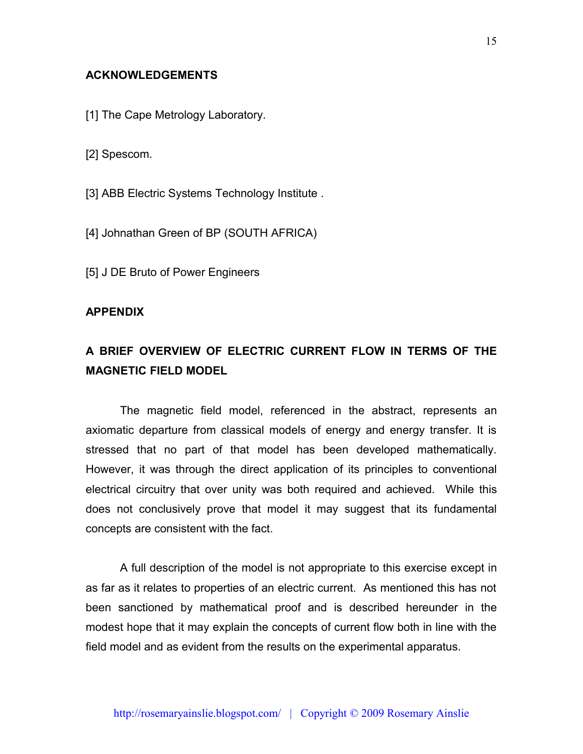# **ACKNOWLEDGEMENTS**

- [1] The Cape Metrology Laboratory.
- [2] Spescom.
- [3] ABB Electric Systems Technology Institute.
- [4] Johnathan Green of BP (SOUTH AFRICA)
- [5] J DE Bruto of Power Engineers

#### **APPENDIX**

# **A BRIEF OVERVIEW OF ELECTRIC CURRENT FLOW IN TERMS OF THE MAGNETIC FIELD MODEL**

The magnetic field model, referenced in the abstract, represents an axiomatic departure from classical models of energy and energy transfer. It is stressed that no part of that model has been developed mathematically. However, it was through the direct application of its principles to conventional electrical circuitry that over unity was both required and achieved. While this does not conclusively prove that model it may suggest that its fundamental concepts are consistent with the fact.

A full description of the model is not appropriate to this exercise except in as far as it relates to properties of an electric current. As mentioned this has not been sanctioned by mathematical proof and is described hereunder in the modest hope that it may explain the concepts of current flow both in line with the field model and as evident from the results on the experimental apparatus.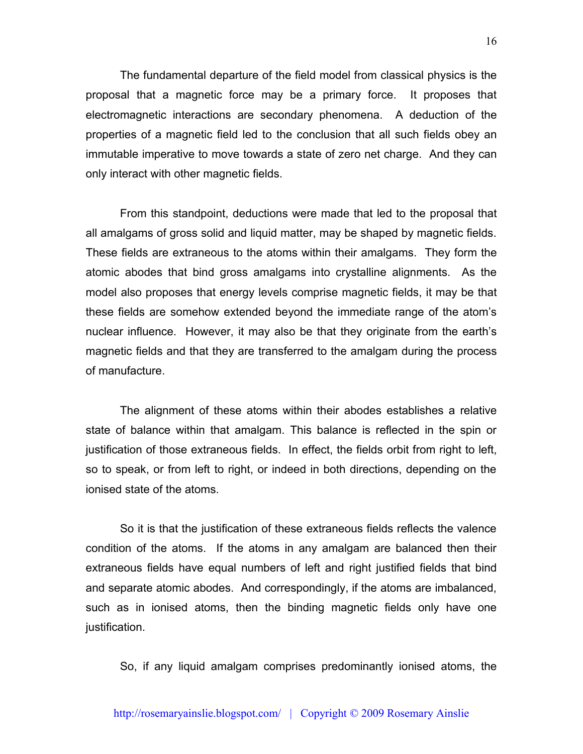The fundamental departure of the field model from classical physics is the proposal that a magnetic force may be a primary force. It proposes that electromagnetic interactions are secondary phenomena. A deduction of the properties of a magnetic field led to the conclusion that all such fields obey an immutable imperative to move towards a state of zero net charge. And they can only interact with other magnetic fields.

From this standpoint, deductions were made that led to the proposal that all amalgams of gross solid and liquid matter, may be shaped by magnetic fields. These fields are extraneous to the atoms within their amalgams. They form the atomic abodes that bind gross amalgams into crystalline alignments. As the model also proposes that energy levels comprise magnetic fields, it may be that these fields are somehow extended beyond the immediate range of the atom's nuclear influence. However, it may also be that they originate from the earth's magnetic fields and that they are transferred to the amalgam during the process of manufacture.

The alignment of these atoms within their abodes establishes a relative state of balance within that amalgam. This balance is reflected in the spin or justification of those extraneous fields. In effect, the fields orbit from right to left, so to speak, or from left to right, or indeed in both directions, depending on the ionised state of the atoms.

So it is that the justification of these extraneous fields reflects the valence condition of the atoms. If the atoms in any amalgam are balanced then their extraneous fields have equal numbers of left and right justified fields that bind and separate atomic abodes. And correspondingly, if the atoms are imbalanced, such as in ionised atoms, then the binding magnetic fields only have one justification.

So, if any liquid amalgam comprises predominantly ionised atoms, the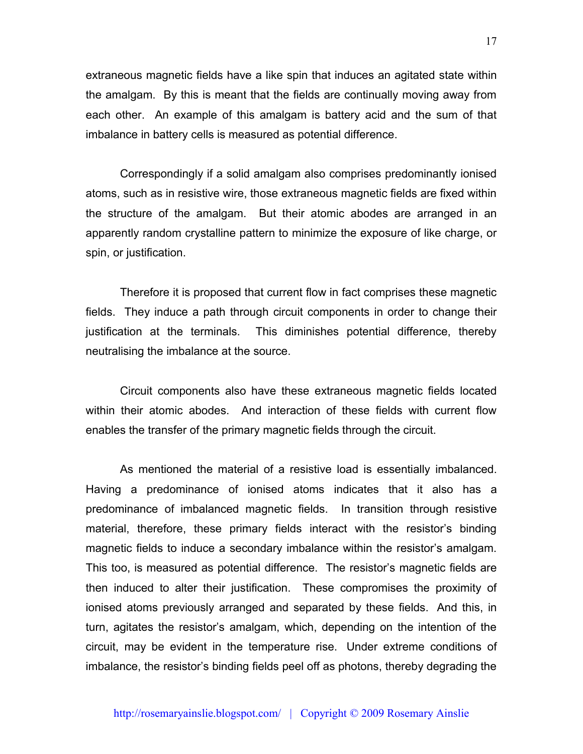extraneous magnetic fields have a like spin that induces an agitated state within the amalgam. By this is meant that the fields are continually moving away from each other. An example of this amalgam is battery acid and the sum of that imbalance in battery cells is measured as potential difference.

Correspondingly if a solid amalgam also comprises predominantly ionised atoms, such as in resistive wire, those extraneous magnetic fields are fixed within the structure of the amalgam. But their atomic abodes are arranged in an apparently random crystalline pattern to minimize the exposure of like charge, or spin, or justification.

Therefore it is proposed that current flow in fact comprises these magnetic fields. They induce a path through circuit components in order to change their justification at the terminals. This diminishes potential difference, thereby neutralising the imbalance at the source.

Circuit components also have these extraneous magnetic fields located within their atomic abodes. And interaction of these fields with current flow enables the transfer of the primary magnetic fields through the circuit.

As mentioned the material of a resistive load is essentially imbalanced. Having a predominance of ionised atoms indicates that it also has a predominance of imbalanced magnetic fields. In transition through resistive material, therefore, these primary fields interact with the resistor's binding magnetic fields to induce a secondary imbalance within the resistor's amalgam. This too, is measured as potential difference. The resistor's magnetic fields are then induced to alter their justification. These compromises the proximity of ionised atoms previously arranged and separated by these fields. And this, in turn, agitates the resistor's amalgam, which, depending on the intention of the circuit, may be evident in the temperature rise. Under extreme conditions of imbalance, the resistor's binding fields peel off as photons, thereby degrading the